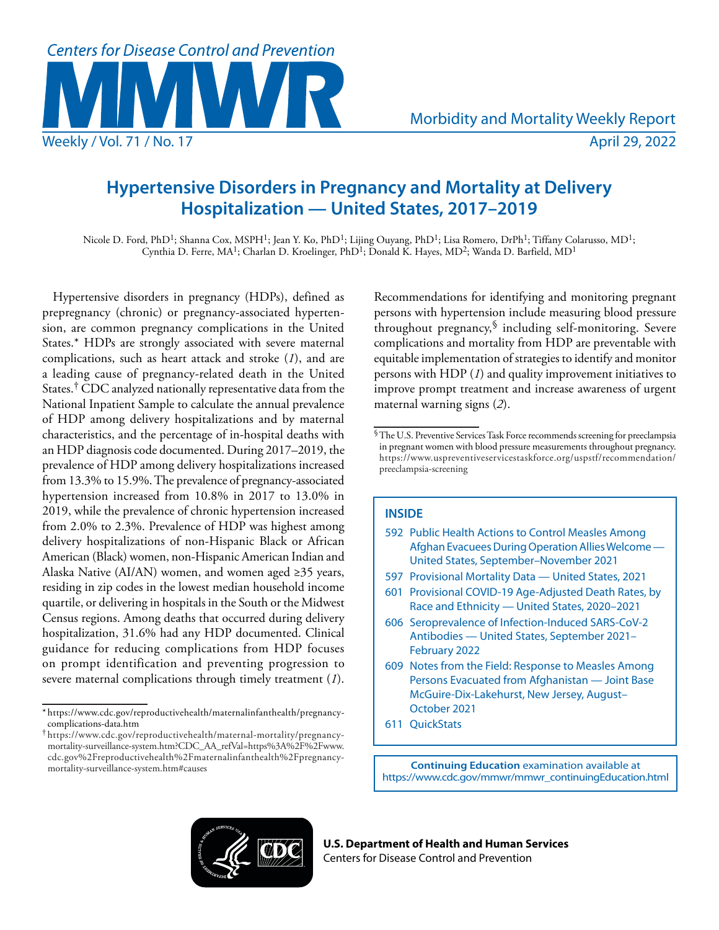

# **Hypertensive Disorders in Pregnancy and Mortality at Delivery Hospitalization — United States, 2017–2019**

Nicole D. Ford, PhD<sup>1</sup>; Shanna Cox, MSPH<sup>1</sup>; Jean Y. Ko, PhD<sup>1</sup>; Lijing Ouyang, PhD<sup>1</sup>; Lisa Romero, DrPh<sup>1</sup>; Tiffany Colarusso, MD<sup>1</sup>; Cynthia D. Ferre, MA<sup>1</sup>; Charlan D. Kroelinger, PhD<sup>1</sup>; Donald K. Hayes, MD<sup>2</sup>; Wanda D. Barfield, MD<sup>1</sup>

Hypertensive disorders in pregnancy (HDPs), defined as prepregnancy (chronic) or pregnancy-associated hypertension, are common pregnancy complications in the United States.\* HDPs are strongly associated with severe maternal complications, such as heart attack and stroke (*1*), and are a leading cause of pregnancy-related death in the United States.<sup>†</sup> CDC analyzed nationally representative data from the National Inpatient Sample to calculate the annual prevalence of HDP among delivery hospitalizations and by maternal characteristics, and the percentage of in-hospital deaths with an HDP diagnosis code documented. During 2017–2019, the prevalence of HDP among delivery hospitalizations increased from 13.3% to 15.9%. The prevalence of pregnancy-associated hypertension increased from 10.8% in 2017 to 13.0% in 2019, while the prevalence of chronic hypertension increased from 2.0% to 2.3%. Prevalence of HDP was highest among delivery hospitalizations of non-Hispanic Black or African American (Black) women, non-Hispanic American Indian and Alaska Native (AI/AN) women, and women aged  $\geq$ 35 years, residing in zip codes in the lowest median household income quartile, or delivering in hospitals in the South or the Midwest Census regions. Among deaths that occurred during delivery hospitalization, 31.6% had any HDP documented. Clinical guidance for reducing complications from HDP focuses on prompt identification and preventing progression to severe maternal complications through timely treatment (*1*).

Recommendations for identifying and monitoring pregnant persons with hypertension include measuring blood pressure throughout pregnancy,§ including self-monitoring. Severe complications and mortality from HDP are preventable with equitable implementation of strategies to identify and monitor persons with HDP (*1*) and quality improvement initiatives to improve prompt treatment and increase awareness of urgent maternal warning signs (*2*).

## **INSIDE**

- 592 Public Health Actions to Control Measles Among Afghan Evacuees During Operation Allies Welcome — United States, September–November 2021
- 597 Provisional Mortality Data United States, 2021
- 601 Provisional COVID-19 Age-Adjusted Death Rates, by Race and Ethnicity — United States, 2020–2021
- 606 Seroprevalence of Infection-Induced SARS-CoV-2 Antibodies — United States, September 2021– February 2022
- 609 Notes from the Field: Response to Measles Among Persons Evacuated from Afghanistan — Joint Base McGuire-Dix-Lakehurst, New Jersey, August– October 2021
- 611 QuickStats

**Continuing Education** examination available at [https://www.cdc.gov/mmwr/mmwr\\_continuingEducation.html](https://www.cdc.gov/mmwr/mmwr_continuingEducation.html)



**U.S. Department of Health and Human Services** Centers for Disease Control and Prevention

<sup>\*</sup> [https://www.cdc.gov/reproductivehealth/maternalinfanthealth/pregnancy](https://www.cdc.gov/reproductivehealth/maternalinfanthealth/pregnancy-complications-data.htm)[complications-data.htm](https://www.cdc.gov/reproductivehealth/maternalinfanthealth/pregnancy-complications-data.htm)

<sup>†</sup> [https://www.cdc.gov/reproductivehealth/maternal-mortality/pregnancy](https://www.cdc.gov/reproductivehealth/maternal-mortality/pregnancy-mortality-surveillance-system.htm?CDC_AA_refVal=https%3A%2F%2Fwww.cdc.gov%2Freproductivehealth%2Fmaternalinfanthealth%2Fpregnancy-mortality-surveillance-system.htm#causes)[mortality-surveillance-system.htm?CDC\\_AA\\_refVal=https%3A%2F%2Fwww.](https://www.cdc.gov/reproductivehealth/maternal-mortality/pregnancy-mortality-surveillance-system.htm?CDC_AA_refVal=https%3A%2F%2Fwww.cdc.gov%2Freproductivehealth%2Fmaternalinfanthealth%2Fpregnancy-mortality-surveillance-system.htm#causes) [cdc.gov%2Freproductivehealth%2Fmaternalinfanthealth%2Fpregnancy](https://www.cdc.gov/reproductivehealth/maternal-mortality/pregnancy-mortality-surveillance-system.htm?CDC_AA_refVal=https%3A%2F%2Fwww.cdc.gov%2Freproductivehealth%2Fmaternalinfanthealth%2Fpregnancy-mortality-surveillance-system.htm#causes)[mortality-surveillance-system.htm#causes](https://www.cdc.gov/reproductivehealth/maternal-mortality/pregnancy-mortality-surveillance-system.htm?CDC_AA_refVal=https%3A%2F%2Fwww.cdc.gov%2Freproductivehealth%2Fmaternalinfanthealth%2Fpregnancy-mortality-surveillance-system.htm#causes)

 $\sqrt[6]{\text{The U.S.} }$  Preventive Services Task Force recommends screening for preeclampsia in pregnant women with blood pressure measurements throughout pregnancy. [https://www.uspreventiveservicestaskforce.org/uspstf/recommendation/](https://www.uspreventiveservicestaskforce.org/uspstf/recommendation/preeclampsia-screening) [preeclampsia-screening](https://www.uspreventiveservicestaskforce.org/uspstf/recommendation/preeclampsia-screening)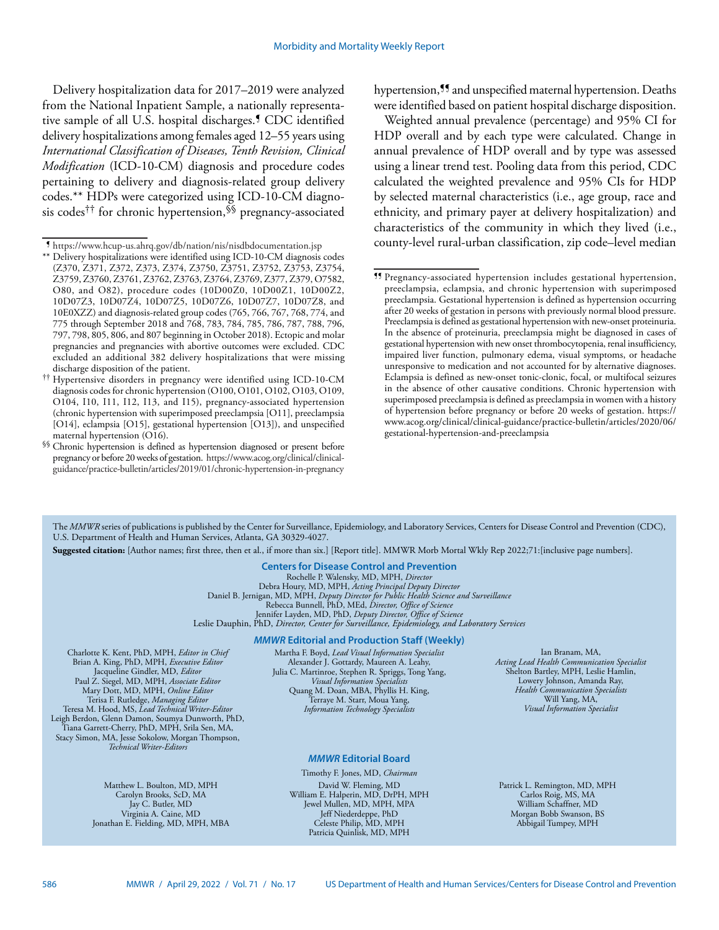Delivery hospitalization data for 2017–2019 were analyzed from the National Inpatient Sample, a nationally representative sample of all U.S. hospital discharges.¶ CDC identified delivery hospitalizations among females aged 12–55 years using *International Classification of Diseases, Tenth Revision, Clinical Modification* (ICD-10-CM) diagnosis and procedure codes pertaining to delivery and diagnosis-related group delivery codes.\*\* HDPs were categorized using ICD-10-CM diagnosis codes†† for chronic hypertension,§§ pregnancy-associated hypertension,<sup>55</sup> and unspecified maternal hypertension. Deaths were identified based on patient hospital discharge disposition.

Weighted annual prevalence (percentage) and 95% CI for HDP overall and by each type were calculated. Change in annual prevalence of HDP overall and by type was assessed using a linear trend test. Pooling data from this period, CDC calculated the weighted prevalence and 95% CIs for HDP by selected maternal characteristics (i.e., age group, race and ethnicity, and primary payer at delivery hospitalization) and characteristics of the community in which they lived (i.e., county-level rural-urban classification, zip code–level median

The *MMWR* series of publications is published by the Center for Surveillance, Epidemiology, and Laboratory Services, Centers for Disease Control and Prevention (CDC), U.S. Department of Health and Human Services, Atlanta, GA 30329-4027.

**Suggested citation:** [Author names; first three, then et al., if more than six.] [Report title]. MMWR Morb Mortal Wkly Rep 2022;71:[inclusive page numbers].

#### **Centers for Disease Control and Prevention** Rochelle P. Walensky, MD, MPH, *Director*

Debra Houry, MD, MPH, *Acting Principal Deputy Director* Daniel B. Jernigan, MD, MPH, *Deputy Director for Public Health Science and Surveillance* Rebecca Bunnell, PhD, MEd, *Director, Office of Science* Jennifer Layden, MD, PhD, *Deputy Director, Office of Science* Leslie Dauphin, PhD, *Director, Center for Surveillance, Epidemiology, and Laboratory Services*

#### *MMWR* **Editorial and Production Staff (Weekly)**

Charlotte K. Kent, PhD, MPH, *Editor in Chief*  Brian A. King, PhD, MPH, *Executive Editor* Jacqueline Gindler, MD, *Editor* Paul Z. Siegel, MD, MPH, *Associate Editor* Mary Dott, MD, MPH, *Online Editor* Terisa F. Rutledge, *Managing Editor*  Teresa M. Hood, MS, *Lead Technical Writer-Editor* Leigh Berdon, Glenn Damon, Soumya Dunworth, PhD, Tiana Garrett-Cherry, PhD, MPH, Srila Sen, MA, Stacy Simon, MA, Jesse Sokolow, Morgan Thompson, *Technical Writer-Editors*

> Matthew L. Boulton, MD, MPH Carolyn Brooks, ScD, MA Jay C. Butler, MD Virginia A. Caine, MD Jonathan E. Fielding, MD, MPH, MBA

Martha F. Boyd, *Lead Visual Information Specialist* Alexander J. Gottardy, Maureen A. Leahy, Julia C. Martinroe, Stephen R. Spriggs, Tong Yang, *Visual Information Specialists* Quang M. Doan, MBA, Phyllis H. King, Terraye M. Starr, Moua Yang, *Information Technology Specialists*

## *MMWR* **Editorial Board**

Timothy F. Jones, MD, *Chairman* David W. Fleming, MD William E. Halperin, MD, DrPH, MPH Jewel Mullen, MD, MPH, MPA Jeff Niederdeppe, PhD Celeste Philip, MD, MPH Patricia Quinlisk, MD, MPH

Ian Branam, MA, *Acting Lead Health Communication Specialist* Shelton Bartley, MPH, Leslie Hamlin, Lowery Johnson, Amanda Ray, *Health Communication Specialists* Will Yang, MA, *Visual Information Specialist*

Patrick L. Remington, MD, MPH Carlos Roig, MS, MA William Schaffner, MD Morgan Bobb Swanson, BS Abbigail Tumpey, MPH

<sup>¶</sup> <https://www.hcup-us.ahrq.gov/db/nation/nis/nisdbdocumentation.jsp>

<sup>\*\*</sup> Delivery hospitalizations were identified using ICD-10-CM diagnosis codes (Z370, Z371, Z372, Z373, Z374, Z3750, Z3751, Z3752, Z3753, Z3754, Z3759, Z3760, Z3761, Z3762, Z3763, Z3764, Z3769, Z377, Z379, O7582, O80, and O82), procedure codes (10D00Z0, 10D00Z1, 10D00Z2, 10D07Z3, 10D07Z4, 10D07Z5, 10D07Z6, 10D07Z7, 10D07Z8, and 10E0XZZ) and diagnosis-related group codes (765, 766, 767, 768, 774, and 775 through September 2018 and 768, 783, 784, 785, 786, 787, 788, 796, 797, 798, 805, 806, and 807 beginning in October 2018). Ectopic and molar pregnancies and pregnancies with abortive outcomes were excluded. CDC excluded an additional 382 delivery hospitalizations that were missing discharge disposition of the patient.

<sup>††</sup> Hypertensive disorders in pregnancy were identified using ICD-10-CM diagnosis codes for chronic hypertension (O100, O101, O102, O103, O109, O104, I10, I11, I12, I13, and I15), pregnancy-associated hypertension (chronic hypertension with superimposed preeclampsia [O11], preeclampsia [O14], eclampsia [O15], gestational hypertension [O13]), and unspecified maternal hypertension (O16).

<sup>§§</sup> Chronic hypertension is defined as hypertension diagnosed or present before pregnancy or before 20 weeks of gestation. [https://www.acog.org/clinical/clinical](https://www.acog.org/clinical/clinical-guidance/practice-bulletin/articles/2019/01/chronic-hypertension-in-pregnancy)[guidance/practice-bulletin/articles/2019/01/chronic-hypertension-in-pregnancy](https://www.acog.org/clinical/clinical-guidance/practice-bulletin/articles/2019/01/chronic-hypertension-in-pregnancy)

<sup>¶¶</sup> Pregnancy-associated hypertension includes gestational hypertension, preeclampsia, eclampsia, and chronic hypertension with superimposed preeclampsia. Gestational hypertension is defined as hypertension occurring after 20 weeks of gestation in persons with previously normal blood pressure. Preeclampsia is defined as gestational hypertension with new-onset proteinuria. In the absence of proteinuria, preeclampsia might be diagnosed in cases of gestational hypertension with new onset thrombocytopenia, renal insufficiency, impaired liver function, pulmonary edema, visual symptoms, or headache unresponsive to medication and not accounted for by alternative diagnoses. Eclampsia is defined as new-onset tonic-clonic, focal, or multifocal seizures in the absence of other causative conditions. Chronic hypertension with superimposed preeclampsia is defined as preeclampsia in women with a history of hypertension before pregnancy or before 20 weeks of gestation. [https://](https://www.acog.org/clinical/clinical-guidance/practice-bulletin/articles/2020/06/gestational-hypertension-and-preeclampsia) [www.acog.org/clinical/clinical-guidance/practice-bulletin/articles/2020/06/](https://www.acog.org/clinical/clinical-guidance/practice-bulletin/articles/2020/06/gestational-hypertension-and-preeclampsia) [gestational-hypertension-and-preeclampsia](https://www.acog.org/clinical/clinical-guidance/practice-bulletin/articles/2020/06/gestational-hypertension-and-preeclampsia)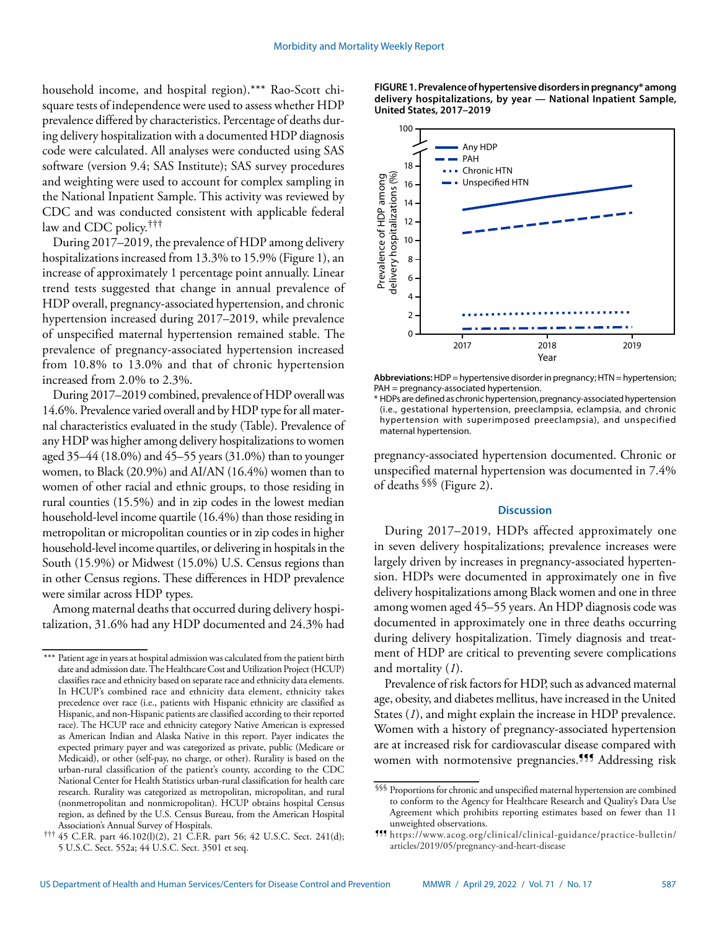household income, and hospital region).\*\*\* Rao-Scott chisquare tests of independence were used to assess whether HDP prevalence differed by characteristics. Percentage of deaths during delivery hospitalization with a documented HDP diagnosis code were calculated. All analyses were conducted using SAS software (version 9.4; SAS Institute); SAS survey procedures and weighting were used to account for complex sampling in the National Inpatient Sample. This activity was reviewed by CDC and was conducted consistent with applicable federal law and CDC policy.†††

During 2017–2019, the prevalence of HDP among delivery hospitalizations increased from 13.3% to 15.9% (Figure 1), an increase of approximately 1 percentage point annually. Linear trend tests suggested that change in annual prevalence of HDP overall, pregnancy-associated hypertension, and chronic hypertension increased during 2017–2019, while prevalence of unspecified maternal hypertension remained stable. The prevalence of pregnancy-associated hypertension increased from 10.8% to 13.0% and that of chronic hypertension increased from 2.0% to 2.3%.

During 2017–2019 combined, prevalence of HDP overall was 14.6%. Prevalence varied overall and by HDP type for all maternal characteristics evaluated in the study (Table). Prevalence of any HDP was higher among delivery hospitalizations to women aged 35–44 (18.0%) and 45–55 years (31.0%) than to younger women, to Black (20.9%) and AI/AN (16.4%) women than to women of other racial and ethnic groups, to those residing in rural counties (15.5%) and in zip codes in the lowest median household-level income quartile (16.4%) than those residing in metropolitan or micropolitan counties or in zip codes in higher household-level income quartiles, or delivering in hospitals in the South (15.9%) or Midwest (15.0%) U.S. Census regions than in other Census regions. These differences in HDP prevalence were similar across HDP types.

Among maternal deaths that occurred during delivery hospitalization, 31.6% had any HDP documented and 24.3% had **FIGURE 1. Prevalence of hypertensive disorders in pregnancy\* among delivery hospitalizations, by year — National Inpatient Sample, United States, 2017–2019**



**Abbreviations:** HDP = hypertensive disorder in pregnancy; HTN = hypertension; PAH = pregnancy-associated hypertension.

\* HDPs are defined as chronic hypertension, pregnancy-associated hypertension (i.e., gestational hypertension, preeclampsia, eclampsia, and chronic hypertension with superimposed preeclampsia), and unspecified maternal hypertension.

pregnancy-associated hypertension documented. Chronic or unspecified maternal hypertension was documented in 7.4% of deaths §§§ (Figure 2).

## **Discussion**

During 2017–2019, HDPs affected approximately one in seven delivery hospitalizations; prevalence increases were largely driven by increases in pregnancy-associated hypertension. HDPs were documented in approximately one in five delivery hospitalizations among Black women and one in three among women aged 45–55 years. An HDP diagnosis code was documented in approximately one in three deaths occurring during delivery hospitalization. Timely diagnosis and treatment of HDP are critical to preventing severe complications and mortality (*1*).

Prevalence of risk factors for HDP, such as advanced maternal age, obesity, and diabetes mellitus, have increased in the United States (*1*), and might explain the increase in HDP prevalence. Women with a history of pregnancy-associated hypertension are at increased risk for cardiovascular disease compared with women with normotensive pregnancies.<sup>999</sup> Addressing risk

<sup>\*\*\*</sup> Patient age in years at hospital admission was calculated from the patient birth date and admission date. The Healthcare Cost and Utilization Project (HCUP) classifies race and ethnicity based on separate race and ethnicity data elements. In HCUP's combined race and ethnicity data element, ethnicity takes precedence over race (i.e., patients with Hispanic ethnicity are classified as Hispanic, and non-Hispanic patients are classified according to their reported race). The HCUP race and ethnicity category Native American is expressed as American Indian and Alaska Native in this report. Payer indicates the expected primary payer and was categorized as private, public (Medicare or Medicaid), or other (self-pay, no charge, or other). Rurality is based on the urban-rural classification of the patient's county, according to the CDC National Center for Health Statistics urban-rural classification for health care research. Rurality was categorized as metropolitan, micropolitan, and rural (nonmetropolitan and nonmicropolitan). HCUP obtains hospital Census region, as defined by the U.S. Census Bureau, from the American Hospital Association's Annual Survey of Hospitals.

<sup>†††</sup> 45 C.F.R. part 46.102(l)(2), 21 C.F.R. part 56; 42 U.S.C. Sect. 241(d); 5 U.S.C. Sect. 552a; 44 U.S.C. Sect. 3501 et seq.

<sup>§§§</sup> Proportions for chronic and unspecified maternal hypertension are combined to conform to the Agency for Healthcare Research and Quality's Data Use Agreement which prohibits reporting estimates based on fewer than 11 unweighted observations.

<sup>¶¶¶</sup> [https://www.acog.org/clinical/clinical-guidance/practice-bulletin/](https://www.acog.org/clinical/clinical-guidance/practice-bulletin/articles/2019/05/pregnancy-and-heart-disease) [articles/2019/05/pregnancy-and-heart-disease](https://www.acog.org/clinical/clinical-guidance/practice-bulletin/articles/2019/05/pregnancy-and-heart-disease)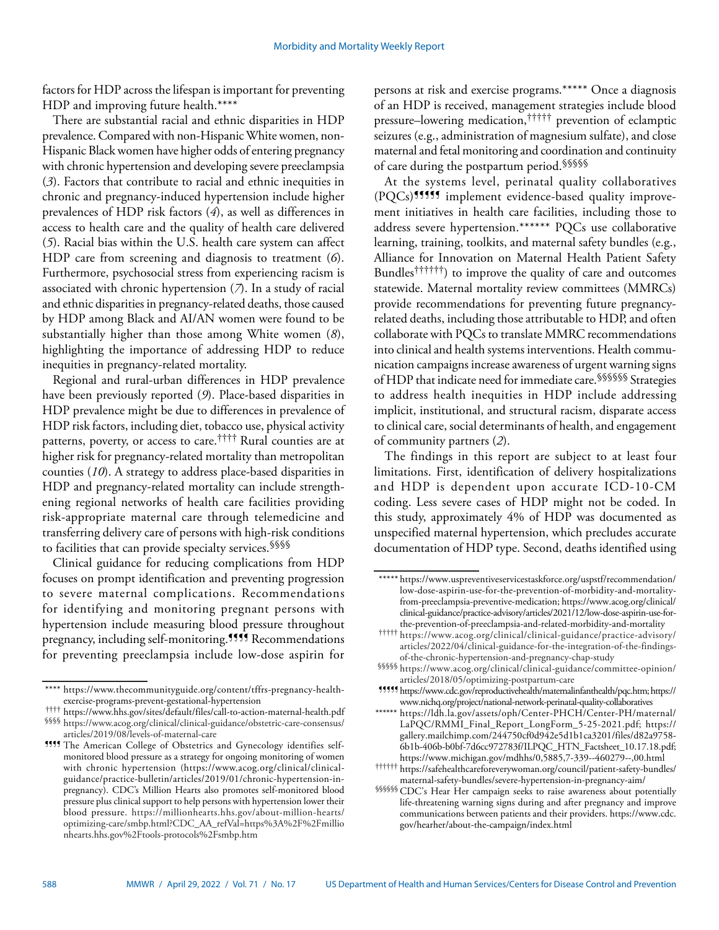factors for HDP across the lifespan is important for preventing HDP and improving future health.\*\*\*\*

There are substantial racial and ethnic disparities in HDP prevalence. Compared with non-Hispanic White women, non-Hispanic Black women have higher odds of entering pregnancy with chronic hypertension and developing severe preeclampsia (*3*). Factors that contribute to racial and ethnic inequities in chronic and pregnancy-induced hypertension include higher prevalences of HDP risk factors (*4*), as well as differences in access to health care and the quality of health care delivered (*5*). Racial bias within the U.S. health care system can affect HDP care from screening and diagnosis to treatment (*6*). Furthermore, psychosocial stress from experiencing racism is associated with chronic hypertension (*7*). In a study of racial and ethnic disparities in pregnancy-related deaths, those caused by HDP among Black and AI/AN women were found to be substantially higher than those among White women (*8*), highlighting the importance of addressing HDP to reduce inequities in pregnancy-related mortality.

Regional and rural-urban differences in HDP prevalence have been previously reported (*9*). Place-based disparities in HDP prevalence might be due to differences in prevalence of HDP risk factors, including diet, tobacco use, physical activity patterns, poverty, or access to care.†††† Rural counties are at higher risk for pregnancy-related mortality than metropolitan counties (*10*). A strategy to address place-based disparities in HDP and pregnancy-related mortality can include strengthening regional networks of health care facilities providing risk-appropriate maternal care through telemedicine and transferring delivery care of persons with high-risk conditions to facilities that can provide specialty services.<sup>§§§§</sup>

Clinical guidance for reducing complications from HDP focuses on prompt identification and preventing progression to severe maternal complications. Recommendations for identifying and monitoring pregnant persons with hypertension include measuring blood pressure throughout pregnancy, including self-monitoring.<sup>9999</sup> Recommendations for preventing preeclampsia include low-dose aspirin for

persons at risk and exercise programs.\*\*\*\*\* Once a diagnosis of an HDP is received, management strategies include blood pressure–lowering medication,††††† prevention of eclamptic seizures (e.g., administration of magnesium sulfate), and close maternal and fetal monitoring and coordination and continuity of care during the postpartum period.§§§§§

At the systems level, perinatal quality collaboratives (PQCs)¶¶¶¶¶ implement evidence-based quality improvement initiatives in health care facilities, including those to address severe hypertension.\*\*\*\*\*\* PQCs use collaborative learning, training, toolkits, and maternal safety bundles (e.g., Alliance for Innovation on Maternal Health Patient Safety Bundles††††††) to improve the quality of care and outcomes statewide. Maternal mortality review committees (MMRCs) provide recommendations for preventing future pregnancyrelated deaths, including those attributable to HDP, and often collaborate with PQCs to translate MMRC recommendations into clinical and health systems interventions. Health communication campaigns increase awareness of urgent warning signs of HDP that indicate need for immediate care.§§§§§§ Strategies to address health inequities in HDP include addressing implicit, institutional, and structural racism, disparate access to clinical care, social determinants of health, and engagement of community partners (*2*).

The findings in this report are subject to at least four limitations. First, identification of delivery hospitalizations and HDP is dependent upon accurate ICD-10-CM coding. Less severe cases of HDP might not be coded. In this study, approximately 4% of HDP was documented as unspecified maternal hypertension, which precludes accurate documentation of HDP type. Second, deaths identified using

<sup>\*\*\*\*</sup> [https://www.thecommunityguide.org/content/tffrs-pregnancy-health](https://www.thecommunityguide.org/content/tffrs-pregnancy-health-exercise-programs-prevent-gestational-hypertension)[exercise-programs-prevent-gestational-hypertension](https://www.thecommunityguide.org/content/tffrs-pregnancy-health-exercise-programs-prevent-gestational-hypertension)

<sup>††††</sup> <https://www.hhs.gov/sites/default/files/call-to-action-maternal-health.pdf> §§§§ [https://www.acog.org/clinical/clinical-guidance/obstetric-care-consensus/](https://www.acog.org/clinical/clinical-guidance/obstetric-care-consensus/articles/2019/08/levels-of-maternal-care) [articles/2019/08/levels-of-maternal-care](https://www.acog.org/clinical/clinical-guidance/obstetric-care-consensus/articles/2019/08/levels-of-maternal-care)

**<sup>1999</sup>** The American College of Obstetrics and Gynecology identifies selfmonitored blood pressure as a strategy for ongoing monitoring of women with chronic hypertension ([https://www.acog.org/clinical/clinical](https://www.acog.org/clinical/clinical-guidance/practice-bulletin/articles/2019/01/chronic-hypertension-in-pregnancy)[guidance/practice-bulletin/articles/2019/01/chronic-hypertension-in](https://www.acog.org/clinical/clinical-guidance/practice-bulletin/articles/2019/01/chronic-hypertension-in-pregnancy)[pregnancy\)](https://www.acog.org/clinical/clinical-guidance/practice-bulletin/articles/2019/01/chronic-hypertension-in-pregnancy). CDC's Million Hearts also promotes self-monitored blood pressure plus clinical support to help persons with hypertension lower their blood pressure. [https://millionhearts.hhs.gov/about-million-hearts/](https://millionhearts.hhs.gov/about-million-hearts/optimizing-care/smbp.html?CDC_AA_refVal=https%3A%2F%2Fmillionhearts.hhs.gov%2Ftools-protocols%2Fsmbp.htm) [optimizing-care/smbp.html?CDC\\_AA\\_refVal=https%3A%2F%2Fmillio](https://millionhearts.hhs.gov/about-million-hearts/optimizing-care/smbp.html?CDC_AA_refVal=https%3A%2F%2Fmillionhearts.hhs.gov%2Ftools-protocols%2Fsmbp.htm) [nhearts.hhs.gov%2Ftools-protocols%2Fsmbp.htm](https://millionhearts.hhs.gov/about-million-hearts/optimizing-care/smbp.html?CDC_AA_refVal=https%3A%2F%2Fmillionhearts.hhs.gov%2Ftools-protocols%2Fsmbp.htm)

<sup>\*\*\*\*\*</sup> [https://www.uspreventiveservicestaskforce.org/uspstf/recommendation/](https://www.uspreventiveservicestaskforce.org/uspstf/recommendation/low-dose-aspirin-use-for-the-prevention-of-morbidity-and-mortality-from-preeclampsia-preventive-medication) [low-dose-aspirin-use-for-the-prevention-of-morbidity-and-mortality](https://www.uspreventiveservicestaskforce.org/uspstf/recommendation/low-dose-aspirin-use-for-the-prevention-of-morbidity-and-mortality-from-preeclampsia-preventive-medication)[from-preeclampsia-preventive-medication;](https://www.uspreventiveservicestaskforce.org/uspstf/recommendation/low-dose-aspirin-use-for-the-prevention-of-morbidity-and-mortality-from-preeclampsia-preventive-medication) [https://www.acog.org/clinical/](https://www.acog.org/clinical/clinical-guidance/practice-advisory/articles/2021/12/low-dose-aspirin-use-for-the-prevention-of-preeclampsia-and-related-morbidity-and-mortality) [clinical-guidance/practice-advisory/articles/2021/12/low-dose-aspirin-use-for](https://www.acog.org/clinical/clinical-guidance/practice-advisory/articles/2021/12/low-dose-aspirin-use-for-the-prevention-of-preeclampsia-and-related-morbidity-and-mortality)[the-prevention-of-preeclampsia-and-related-morbidity-and-mortality](https://www.acog.org/clinical/clinical-guidance/practice-advisory/articles/2021/12/low-dose-aspirin-use-for-the-prevention-of-preeclampsia-and-related-morbidity-and-mortality)

<sup>†††††</sup> [https://www.acog.org/clinical/clinical-guidance/practice-advisory/](https://www.acog.org/clinical/clinical-guidance/practice-advisory/articles/2022/04/clinical-guidance-for-the-integration-of-the-findings-of-the-chronic-hypertension-and-pregnancy-chap-study) [articles/2022/04/clinical-guidance-for-the-integration-of-the-findings](https://www.acog.org/clinical/clinical-guidance/practice-advisory/articles/2022/04/clinical-guidance-for-the-integration-of-the-findings-of-the-chronic-hypertension-and-pregnancy-chap-study)[of-the-chronic-hypertension-and-pregnancy-chap-study](https://www.acog.org/clinical/clinical-guidance/practice-advisory/articles/2022/04/clinical-guidance-for-the-integration-of-the-findings-of-the-chronic-hypertension-and-pregnancy-chap-study)

<sup>§§§§§</sup> [https://www.acog.org/clinical/clinical-guidance/committee-opinion/](https://www.acog.org/clinical/clinical-guidance/committee-opinion/articles/2018/05/optimizing-postpartum-care) [articles/2018/05/optimizing-postpartum-care](https://www.acog.org/clinical/clinical-guidance/committee-opinion/articles/2018/05/optimizing-postpartum-care)

<sup>¶¶¶¶¶</sup><https://www.cdc.gov/reproductivehealth/maternalinfanthealth/pqc.htm>; [https://](https://www.nichq.org/project/national-network-perinatal-quality-collaboratives) [www.nichq.org/project/national-network-perinatal-quality-collaboratives](https://www.nichq.org/project/national-network-perinatal-quality-collaboratives)

<sup>\*\*\*\*\*\*</sup> [https://ldh.la.gov/assets/oph/Center-PHCH/Center-PH/maternal/](https://ldh.la.gov/assets/oph/Center-PHCH/Center-PH/maternal/LaPQC/RMMI_Final_Report_LongForm_5-25-2021.pdf) [LaPQC/RMMI\\_Final\\_Report\\_LongForm\\_5-25-2021.pdf](https://ldh.la.gov/assets/oph/Center-PHCH/Center-PH/maternal/LaPQC/RMMI_Final_Report_LongForm_5-25-2021.pdf); [https://](https://gallery.mailchimp.com/244750cf0d942e5d1b1ca3201/files/d82a9758-6b1b-406b-b0bf-7d6cc972783f/ILPQC_HTN_Factsheet_10.17.18.pdf) [gallery.mailchimp.com/244750cf0d942e5d1b1ca3201/files/d82a9758-](https://gallery.mailchimp.com/244750cf0d942e5d1b1ca3201/files/d82a9758-6b1b-406b-b0bf-7d6cc972783f/ILPQC_HTN_Factsheet_10.17.18.pdf) [6b1b-406b-b0bf-7d6cc972783f/ILPQC\\_HTN\\_Factsheet\\_10.17.18.pdf;](https://gallery.mailchimp.com/244750cf0d942e5d1b1ca3201/files/d82a9758-6b1b-406b-b0bf-7d6cc972783f/ILPQC_HTN_Factsheet_10.17.18.pdf) <https://www.michigan.gov/mdhhs/0,5885,7-339--460279--,00.html>

<sup>††††††</sup> [https://safehealthcareforeverywoman.org/council/patient-safety-bundles/](https://safehealthcareforeverywoman.org/council/patient-safety-bundles/maternal-safety-bundles/severe-hypertension-in-pregnancy-aim/) [maternal-safety-bundles/severe-hypertension-in-pregnancy-aim/](https://safehealthcareforeverywoman.org/council/patient-safety-bundles/maternal-safety-bundles/severe-hypertension-in-pregnancy-aim/)

<sup>§§§§§§</sup>CDC's Hear Her campaign seeks to raise awareness about potentially life-threatening warning signs during and after pregnancy and improve communications between patients and their providers. [https://www.cdc.](https://www.cdc.gov/hearher/about-the-campaign/index.html) [gov/hearher/about-the-campaign/index.html](https://www.cdc.gov/hearher/about-the-campaign/index.html)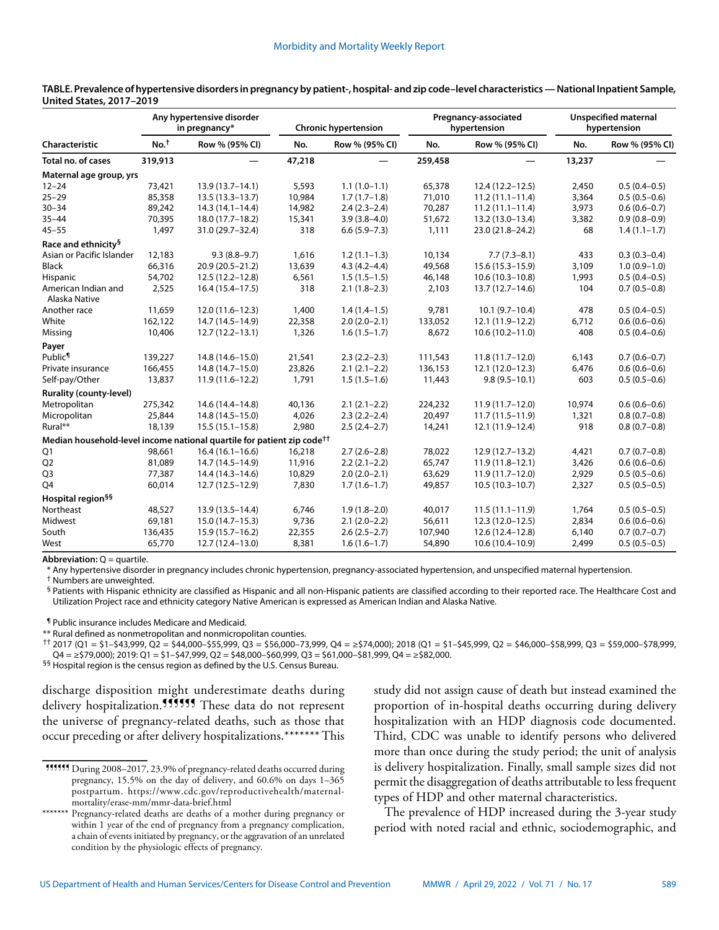| <b>Characteristic</b>                                                              | Any hypertensive disorder<br>in pregnancy* |                     | <b>Chronic hypertension</b> |                  | Pregnancy-associated<br>hypertension |                     | <b>Unspecified maternal</b><br>hypertension |                  |
|------------------------------------------------------------------------------------|--------------------------------------------|---------------------|-----------------------------|------------------|--------------------------------------|---------------------|---------------------------------------------|------------------|
|                                                                                    | No. <sup>†</sup>                           | Row % (95% CI)      | No.                         | Row % (95% CI)   | No.                                  | Row % (95% CI)      | No.                                         | Row % (95% CI)   |
| Total no. of cases                                                                 | 319,913                                    |                     | 47,218                      |                  | 259,458                              |                     | 13,237                                      |                  |
| Maternal age group, yrs                                                            |                                            |                     |                             |                  |                                      |                     |                                             |                  |
| $12 - 24$                                                                          | 73,421                                     | $13.9(13.7 - 14.1)$ | 5,593                       | $1.1(1.0-1.1)$   | 65,378                               | $12.4(12.2 - 12.5)$ | 2,450                                       | $0.5(0.4 - 0.5)$ |
| $25 - 29$                                                                          | 85,358                                     | $13.5(13.3 - 13.7)$ | 10,984                      | $1.7(1.7-1.8)$   | 71,010                               | $11.2(11.1 - 11.4)$ | 3,364                                       | $0.5(0.5-0.6)$   |
| $30 - 34$                                                                          | 89,242                                     | $14.3(14.1 - 14.4)$ | 14,982                      | $2.4(2.3-2.4)$   | 70,287                               | $11.2(11.1 - 11.4)$ | 3,973                                       | $0.6(0.6-0.7)$   |
| $35 - 44$                                                                          | 70,395                                     | 18.0 (17.7-18.2)    | 15,341                      | $3.9(3.8-4.0)$   | 51,672                               | 13.2 (13.0-13.4)    | 3,382                                       | $0.9(0.8-0.9)$   |
| $45 - 55$                                                                          | 1,497                                      | 31.0 (29.7-32.4)    | 318                         | $6.6(5.9 - 7.3)$ | 1,111                                | 23.0 (21.8-24.2)    | 68                                          | $1.4(1.1-1.7)$   |
| Race and ethnicity <sup>§</sup>                                                    |                                            |                     |                             |                  |                                      |                     |                                             |                  |
| Asian or Pacific Islander                                                          | 12,183                                     | $9.3(8.8-9.7)$      | 1,616                       | $1.2(1.1-1.3)$   | 10,134                               | $7.7(7.3-8.1)$      | 433                                         | $0.3(0.3-0.4)$   |
| <b>Black</b>                                                                       | 66,316                                     | 20.9 (20.5-21.2)    | 13,639                      | $4.3(4.2 - 4.4)$ | 49,568                               | $15.6(15.3 - 15.9)$ | 3,109                                       | $1.0(0.9-1.0)$   |
| <b>Hispanic</b>                                                                    | 54,702                                     | $12.5(12.2 - 12.8)$ | 6,561                       | $1.5(1.5-1.5)$   | 46,148                               | $10.6(10.3-10.8)$   | 1,993                                       | $0.5(0.4-0.5)$   |
| American Indian and<br>Alaska Native                                               | 2,525                                      | $16.4(15.4 - 17.5)$ | 318                         | $2.1(1.8-2.3)$   | 2,103                                | $13.7(12.7 - 14.6)$ | 104                                         | $0.7(0.5-0.8)$   |
| Another race                                                                       | 11,659                                     | $12.0(11.6-12.3)$   | 1,400                       | $1.4(1.4-1.5)$   | 9,781                                | $10.1(9.7-10.4)$    | 478                                         | $0.5(0.4 - 0.5)$ |
| White                                                                              | 162,122                                    | 14.7 (14.5-14.9)    | 22,358                      | $2.0(2.0-2.1)$   | 133,052                              | 12.1 (11.9-12.2)    | 6,712                                       | $0.6(0.6-0.6)$   |
| Missing                                                                            | 10,406                                     | $12.7(12.2 - 13.1)$ | 1,326                       | $1.6(1.5-1.7)$   | 8,672                                | $10.6(10.2 - 11.0)$ | 408                                         | $0.5(0.4 - 0.6)$ |
| Payer                                                                              |                                            |                     |                             |                  |                                      |                     |                                             |                  |
| Public <sup>¶</sup>                                                                | 139,227                                    | 14.8 (14.6-15.0)    | 21,541                      | $2.3(2.2-2.3)$   | 111,543                              | $11.8(11.7-12.0)$   | 6,143                                       | $0.7(0.6 - 0.7)$ |
| Private insurance                                                                  | 166,455                                    | 14.8 (14.7-15.0)    | 23,826                      | $2.1(2.1-2.2)$   | 136,153                              | $12.1(12.0-12.3)$   | 6,476                                       | $0.6(0.6-0.6)$   |
| Self-pay/Other                                                                     | 13,837                                     | $11.9(11.6 - 12.2)$ | 1,791                       | $1.5(1.5-1.6)$   | 11,443                               | $9.8(9.5 - 10.1)$   | 603                                         | $0.5(0.5-0.6)$   |
| <b>Rurality (county-level)</b>                                                     |                                            |                     |                             |                  |                                      |                     |                                             |                  |
| Metropolitan                                                                       | 275,342                                    | 14.6 (14.4-14.8)    | 40,136                      | $2.1(2.1-2.2)$   | 224,232                              | $11.9(11.7-12.0)$   | 10,974                                      | $0.6(0.6-0.6)$   |
| Micropolitan                                                                       | 25,844                                     | 14.8 (14.5-15.0)    | 4,026                       | $2.3(2.2-2.4)$   | 20,497                               | $11.7(11.5 - 11.9)$ | 1,321                                       | $0.8(0.7-0.8)$   |
| Rural**                                                                            | 18,139                                     | $15.5(15.1 - 15.8)$ | 2,980                       | $2.5(2.4-2.7)$   | 14,241                               | 12.1 (11.9-12.4)    | 918                                         | $0.8(0.7-0.8)$   |
| Median household-level income national quartile for patient zip code <sup>††</sup> |                                            |                     |                             |                  |                                      |                     |                                             |                  |
| Q1                                                                                 | 98,661                                     | $16.4(16.1-16.6)$   | 16,218                      | $2.7(2.6-2.8)$   | 78,022                               | 12.9 (12.7-13.2)    | 4,421                                       | $0.7(0.7-0.8)$   |
| Q <sub>2</sub>                                                                     | 81,089                                     | 14.7 (14.5-14.9)    | 11,916                      | $2.2(2.1-2.2)$   | 65,747                               | $11.9(11.8-12.1)$   | 3,426                                       | $0.6(0.6-0.6)$   |
| Q3                                                                                 | 77,387                                     | 14.4 (14.3–14.6)    | 10,829                      | $2.0(2.0-2.1)$   | 63,629                               | $11.9(11.7-12.0)$   | 2,929                                       | $0.5(0.5-0.6)$   |
| Q4                                                                                 | 60,014                                     | $12.7(12.5 - 12.9)$ | 7,830                       | $1.7(1.6-1.7)$   | 49,857                               | $10.5(10.3 - 10.7)$ | 2,327                                       | $0.5(0.5-0.5)$   |
| Hospital region <sup>§§</sup>                                                      |                                            |                     |                             |                  |                                      |                     |                                             |                  |
| Northeast                                                                          | 48,527                                     | 13.9 (13.5-14.4)    | 6,746                       | $1.9(1.8-2.0)$   | 40,017                               | $11.5(11.1-11.9)$   | 1,764                                       | $0.5(0.5-0.5)$   |
| Midwest                                                                            | 69,181                                     | $15.0(14.7 - 15.3)$ | 9,736                       | $2.1(2.0-2.2)$   | 56,611                               | $12.3(12.0-12.5)$   | 2,834                                       | $0.6(0.6-0.6)$   |
| South                                                                              | 136,435                                    | $15.9(15.7 - 16.2)$ | 22,355                      | $2.6(2.5-2.7)$   | 107,940                              | 12.6 (12.4-12.8)    | 6,140                                       | $0.7(0.7-0.7)$   |
| West                                                                               | 65,770                                     | 12.7 (12.4-13.0)    | 8,381                       | $1.6(1.6-1.7)$   | 54,890                               | 10.6 (10.4-10.9)    | 2,499                                       | $0.5(0.5-0.5)$   |

**TABLE. Prevalence of hypertensive disorders in pregnancy by patient-, hospital- and zip code–level characteristics — National Inpatient Sample, United States, 2017–2019**

**Abbreviation:** Q = quartile.

\* Any hypertensive disorder in pregnancy includes chronic hypertension, pregnancy-associated hypertension, and unspecified maternal hypertension.

† Numbers are unweighted.

§ Patients with Hispanic ethnicity are classified as Hispanic and all non-Hispanic patients are classified according to their reported race. The Healthcare Cost and Utilization Project race and ethnicity category Native American is expressed as American Indian and Alaska Native.

¶ Public insurance includes Medicare and Medicaid.

\*\* Rural defined as nonmetropolitan and nonmicropolitan counties.

†† 2017 (Q1 = \$1–\$43,999, Q2 = \$44,000–\$55,999, Q3 = \$56,000–73,999, Q4 = ≥\$74,000); 2018 (Q1 = \$1–\$45,999, Q2 = \$46,000–\$58,999, Q3 = \$59,000–\$78,999,  $Q4 = \geq 579,000$ ; 2019:  $Q1 = 51 - 547,999$ ,  $Q2 = 548,000 - 560,999$ ,  $Q3 = 561,000 - 581,999$ ,  $Q4 = \geq 582,000$ .

§§ Hospital region is the census region as defined by the U.S. Census Bureau.

discharge disposition might underestimate deaths during delivery hospitalization.<sup>999999</sup> These data do not represent the universe of pregnancy-related deaths, such as those that occur preceding or after delivery hospitalizations.\*\*\*\*\*\*\* This study did not assign cause of death but instead examined the proportion of in-hospital deaths occurring during delivery hospitalization with an HDP diagnosis code documented. Third, CDC was unable to identify persons who delivered more than once during the study period; the unit of analysis is delivery hospitalization. Finally, small sample sizes did not permit the disaggregation of deaths attributable to less frequent types of HDP and other maternal characteristics.

The prevalence of HDP increased during the 3-year study period with noted racial and ethnic, sociodemographic, and

<sup>¶¶¶¶¶¶</sup> During 2008–2017, 23.9% of pregnancy-related deaths occurred during pregnancy, 15.5% on the day of delivery, and 60.6% on days 1–365 postpartum. [https://www.cdc.gov/reproductivehealth/maternal](https://www.cdc.gov/reproductivehealth/maternal-mortality/erase-mm/mmr-data-brief.html)[mortality/erase-mm/mmr-data-brief.html](https://www.cdc.gov/reproductivehealth/maternal-mortality/erase-mm/mmr-data-brief.html)

<sup>\*\*\*\*\*\*\*</sup> Pregnancy-related deaths are deaths of a mother during pregnancy or within 1 year of the end of pregnancy from a pregnancy complication, a chain of events initiated by pregnancy, or the aggravation of an unrelated condition by the physiologic effects of pregnancy.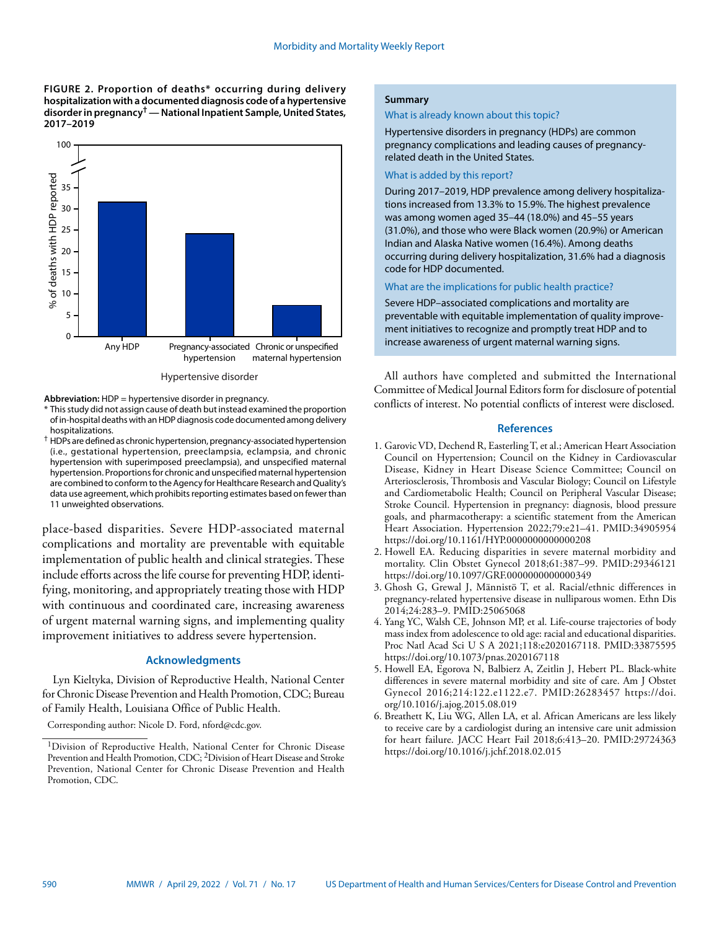**FIGURE 2. Proportion of deaths\* occurring during delivery hospitalization with a documented diagnosis code of a hypertensive disorder in pregnancy† — National Inpatient Sample, United States, 2017–2019**



Hypertensive disorder

**Abbreviation:** HDP = hypertensive disorder in pregnancy.

- \* This study did not assign cause of death but instead examined the proportion of in-hospital deaths with an HDP diagnosis code documented among delivery hospitalizations.
- † HDPs are defined as chronic hypertension, pregnancy-associated hypertension (i.e., gestational hypertension, preeclampsia, eclampsia, and chronic hypertension with superimposed preeclampsia), and unspecified maternal hypertension. Proportions for chronic and unspecified maternal hypertension are combined to conform to the Agency for Healthcare Research and Quality's data use agreement, which prohibits reporting estimates based on fewer than 11 unweighted observations.

place-based disparities. Severe HDP-associated maternal complications and mortality are preventable with equitable implementation of public health and clinical strategies. These include efforts across the life course for preventing HDP, identifying, monitoring, and appropriately treating those with HDP with continuous and coordinated care, increasing awareness of urgent maternal warning signs, and implementing quality improvement initiatives to address severe hypertension.

## **Acknowledgments**

Lyn Kieltyka, Division of Reproductive Health, National Center for Chronic Disease Prevention and Health Promotion, CDC; Bureau of Family Health, Louisiana Office of Public Health.

Corresponding author: Nicole D. Ford, [nford@cdc.gov.](mailto:nford@cdc.gov)

## **Summary**

#### What is already known about this topic?

Hypertensive disorders in pregnancy (HDPs) are common pregnancy complications and leading causes of pregnancyrelated death in the United States.

#### What is added by this report?

During 2017–2019, HDP prevalence among delivery hospitalizations increased from 13.3% to 15.9%. The highest prevalence was among women aged 35–44 (18.0%) and 45–55 years (31.0%), and those who were Black women (20.9%) or American Indian and Alaska Native women (16.4%). Among deaths occurring during delivery hospitalization, 31.6% had a diagnosis code for HDP documented.

What are the implications for public health practice?

Severe HDP–associated complications and mortality are preventable with equitable implementation of quality improvement initiatives to recognize and promptly treat HDP and to increase awareness of urgent maternal warning signs.

All authors have completed and submitted the International Committee of Medical Journal Editors form for disclosure of potential conflicts of interest. No potential conflicts of interest were disclosed.

## **References**

- 1. Garovic VD, Dechend R, Easterling T, et al.; American Heart Association Council on Hypertension; Council on the Kidney in Cardiovascular Disease, Kidney in Heart Disease Science Committee; Council on Arteriosclerosis, Thrombosis and Vascular Biology; Council on Lifestyle and Cardiometabolic Health; Council on Peripheral Vascular Disease; Stroke Council. Hypertension in pregnancy: diagnosis, blood pressure goals, and pharmacotherapy: a scientific statement from the American Heart Association. Hypertension 2022;79:e21–41[. PMID:34905954](https://pubmed.ncbi.nlm.nih.gov/34905954) <https://doi.org/10.1161/HYP.0000000000000208>
- 2. Howell EA. Reducing disparities in severe maternal morbidity and mortality. Clin Obstet Gynecol 2018;61:387–99. [PMID:29346121](https://pubmed.ncbi.nlm.nih.gov/29346121) <https://doi.org/10.1097/GRF.0000000000000349>
- 3. Ghosh G, Grewal J, Männistö T, et al. Racial/ethnic differences in pregnancy-related hypertensive disease in nulliparous women. Ethn Dis 2014;24:283–9. [PMID:25065068](https://pubmed.ncbi.nlm.nih.gov/25065068)
- 4. Yang YC, Walsh CE, Johnson MP, et al. Life-course trajectories of body mass index from adolescence to old age: racial and educational disparities. Proc Natl Acad Sci U S A 2021;118:e2020167118[. PMID:33875595](https://pubmed.ncbi.nlm.nih.gov/33875595) <https://doi.org/10.1073/pnas.2020167118>
- 5. Howell EA, Egorova N, Balbierz A, Zeitlin J, Hebert PL. Black-white differences in severe maternal morbidity and site of care. Am J Obstet Gynecol 2016;214:122.e1122.e7. [PMID:26283457](https://www.ncbi.nlm.nih.gov/entrez/query.fcgi?cmd=Retrieve&db=PubMed&list_uids=26283457&dopt=Abstract) [https://doi.](https://doi.org/10.1016/j.ajog.2015.08.019) [org/10.1016/j.ajog.2015.08.019](https://doi.org/10.1016/j.ajog.2015.08.019)
- 6. Breathett K, Liu WG, Allen LA, et al. African Americans are less likely to receive care by a cardiologist during an intensive care unit admission for heart failure. JACC Heart Fail 2018;6:413–20. [PMID:29724363](https://pubmed.ncbi.nlm.nih.gov/29724363) <https://doi.org/10.1016/j.jchf.2018.02.015>

<sup>&</sup>lt;sup>1</sup>Division of Reproductive Health, National Center for Chronic Disease Prevention and Health Promotion, CDC; 2Division of Heart Disease and Stroke Prevention, National Center for Chronic Disease Prevention and Health Promotion, CDC.